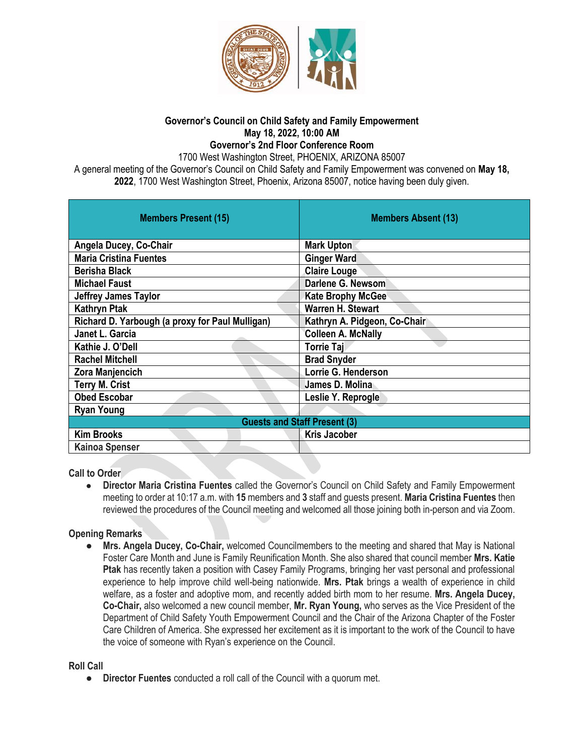

#### **Governor's Council on Child Safety and Family Empowerment May 18, 2022, 10:00 AM Governor's 2nd Floor Conference Room**

1700 West Washington Street, PHOENIX, ARIZONA 85007

A general meeting of the Governor's Council on Child Safety and Family Empowerment was convened on **May 18, 2022**, 1700 West Washington Street, Phoenix, Arizona 85007, notice having been duly given.

| <b>Members Present (15)</b>                     | <b>Members Absent (13)</b>   |
|-------------------------------------------------|------------------------------|
| Angela Ducey, Co-Chair                          | <b>Mark Upton</b>            |
| <b>Maria Cristina Fuentes</b>                   | <b>Ginger Ward</b>           |
| <b>Berisha Black</b>                            | <b>Claire Louge</b>          |
| <b>Michael Faust</b>                            | Darlene G. Newsom            |
| <b>Jeffrey James Taylor</b>                     | <b>Kate Brophy McGee</b>     |
| <b>Kathryn Ptak</b>                             | <b>Warren H. Stewart</b>     |
| Richard D. Yarbough (a proxy for Paul Mulligan) | Kathryn A. Pidgeon, Co-Chair |
| Janet L. Garcia                                 | <b>Colleen A. McNally</b>    |
| Kathie J. O'Dell                                | Torrie Taj                   |
| <b>Rachel Mitchell</b>                          | <b>Brad Snyder</b>           |
| <b>Zora Manjencich</b>                          | Lorrie G. Henderson          |
| <b>Terry M. Crist</b>                           | James D. Molina              |
| <b>Obed Escobar</b>                             | Leslie Y. Reprogle           |
| <b>Ryan Young</b>                               |                              |
| <b>Guests and Staff Present (3)</b>             |                              |
| <b>Kim Brooks</b>                               | <b>Kris Jacober</b>          |
| <b>Kainoa Spenser</b>                           |                              |

**Call to Order**

● **Director Maria Cristina Fuentes** called the Governor's Council on Child Safety and Family Empowerment meeting to order at 10:17 a.m. with **15** members and **3** staff and guests present. **Maria Cristina Fuentes** then reviewed the procedures of the Council meeting and welcomed all those joining both in-person and via Zoom.

### **Opening Remarks**

● **Mrs. Angela Ducey, Co-Chair,** welcomed Councilmembers to the meeting and shared that May is National Foster Care Month and June is Family Reunification Month. She also shared that council member **Mrs. Katie Ptak** has recently taken a position with Casey Family Programs, bringing her vast personal and professional experience to help improve child well-being nationwide. **Mrs. Ptak** brings a wealth of experience in child welfare, as a foster and adoptive mom, and recently added birth mom to her resume. **Mrs. Angela Ducey, Co-Chair,** also welcomed a new council member, **Mr. Ryan Young,** who serves as the Vice President of the Department of Child Safety Youth Empowerment Council and the Chair of the Arizona Chapter of the Foster Care Children of America. She expressed her excitement as it is important to the work of the Council to have the voice of someone with Ryan's experience on the Council.

**Roll Call**

● **Director Fuentes** conducted a roll call of the Council with a quorum met.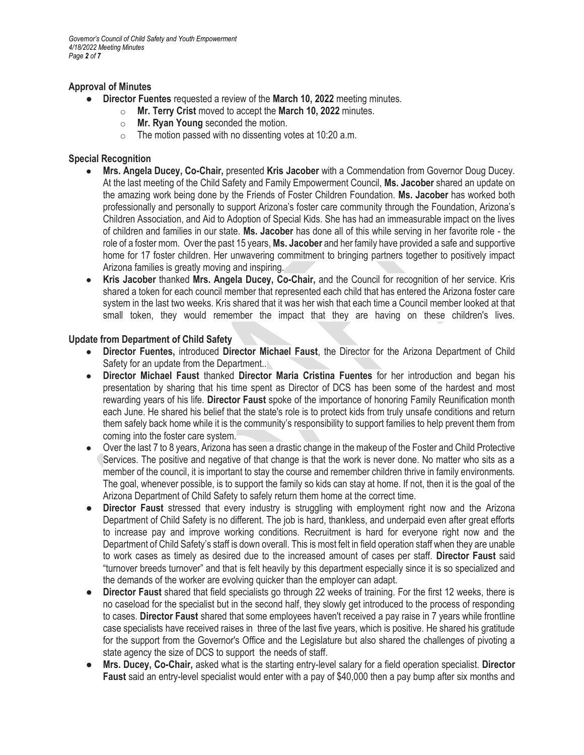*Governor's Council of Child Safety and Youth Empowerment 4/18/2022 Meeting Minutes Page 2 of 7*

#### **Approval of Minutes**

- **Director Fuentes** requested a review of the **March 10, 2022** meeting minutes.
	- o **Mr. Terry Crist** moved to accept the **March 10, 2022** minutes.
	- o **Mr. Ryan Young** seconded the motion.
	- $\circ$  The motion passed with no dissenting votes at 10:20 a.m.

### **Special Recognition**

- **Mrs. Angela Ducey, Co-Chair,** presented **Kris Jacober** with a Commendation from Governor Doug Ducey. At the last meeting of the Child Safety and Family Empowerment Council, **Ms. Jacober** shared an update on the amazing work being done by the Friends of Foster Children Foundation. **Ms. Jacober** has worked both professionally and personally to support Arizona's foster care community through the Foundation, Arizona's Children Association, and Aid to Adoption of Special Kids. She has had an immeasurable impact on the lives of children and families in our state. **Ms. Jacober** has done all of this while serving in her favorite role - the role of a foster mom. Over the past 15 years, **Ms. Jacober** and her family have provided a safe and supportive home for 17 foster children. Her unwavering commitment to bringing partners together to positively impact Arizona families is greatly moving and inspiring.
- **Kris Jacober** thanked **Mrs. Angela Ducey, Co-Chair,** and the Council for recognition of her service. Kris shared a token for each council member that represented each child that has entered the Arizona foster care system in the last two weeks. Kris shared that it was her wish that each time a Council member looked at that small token, they would remember the impact that they are having on these children's lives.

#### **Update from Department of Child Safety**

- **Director Fuentes,** introduced **Director Michael Faust**, the Director for the Arizona Department of Child Safety for an update from the Department..
- **Director Michael Faust** thanked **Director Maria Cristina Fuentes** for her introduction and began his presentation by sharing that his time spent as Director of DCS has been some of the hardest and most rewarding years of his life. **Director Faust** spoke of the importance of honoring Family Reunification month each June. He shared his belief that the state's role is to protect kids from truly unsafe conditions and return them safely back home while it is the community's responsibility to support families to help prevent them from coming into the foster care system.
- Over the last 7 to 8 years, Arizona has seen a drastic change in the makeup of the Foster and Child Protective Services. The positive and negative of that change is that the work is never done. No matter who sits as a member of the council, it is important to stay the course and remember children thrive in family environments. The goal, whenever possible, is to support the family so kids can stay at home. If not, then it is the goal of the Arizona Department of Child Safety to safely return them home at the correct time.
- **Director Faust** stressed that every industry is struggling with employment right now and the Arizona Department of Child Safety is no different. The job is hard, thankless, and underpaid even after great efforts to increase pay and improve working conditions. Recruitment is hard for everyone right now and the Department of Child Safety's staff is down overall. This is most felt in field operation staff when they are unable to work cases as timely as desired due to the increased amount of cases per staff. **Director Faust** said "turnover breeds turnover" and that is felt heavily by this department especially since it is so specialized and the demands of the worker are evolving quicker than the employer can adapt.
- **Director Faust** shared that field specialists go through 22 weeks of training. For the first 12 weeks, there is no caseload for the specialist but in the second half, they slowly get introduced to the process of responding to cases. **Director Faust** shared that some employees haven't received a pay raise in 7 years while frontline case specialists have received raises in three of the last five years, which is positive. He shared his gratitude for the support from the Governor's Office and the Legislature but also shared the challenges of pivoting a state agency the size of DCS to support the needs of staff.
- **Mrs. Ducey, Co-Chair,** asked what is the starting entry-level salary for a field operation specialist. **Director Faust** said an entry-level specialist would enter with a pay of \$40,000 then a pay bump after six months and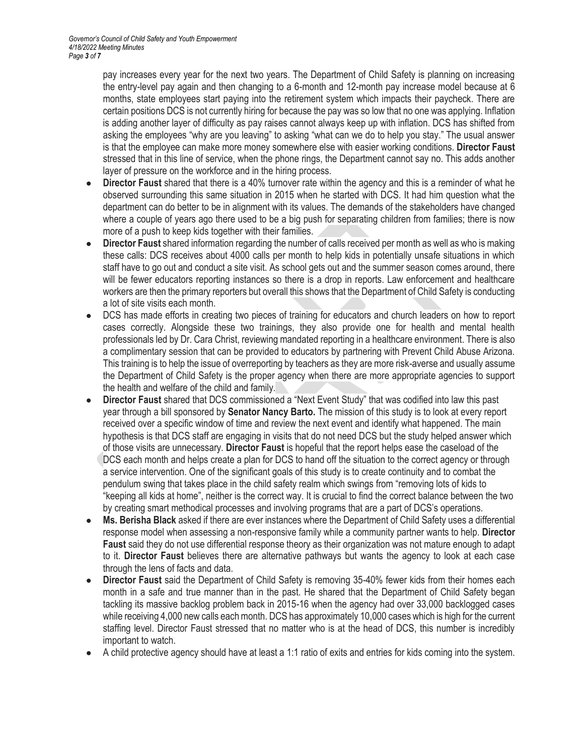pay increases every year for the next two years. The Department of Child Safety is planning on increasing the entry-level pay again and then changing to a 6-month and 12-month pay increase model because at 6 months, state employees start paying into the retirement system which impacts their paycheck. There are certain positions DCS is not currently hiring for because the pay was so low that no one was applying. Inflation is adding another layer of difficulty as pay raises cannot always keep up with inflation. DCS has shifted from asking the employees "why are you leaving" to asking "what can we do to help you stay." The usual answer is that the employee can make more money somewhere else with easier working conditions. **Director Faust** stressed that in this line of service, when the phone rings, the Department cannot say no. This adds another layer of pressure on the workforce and in the hiring process.

- **Director Faust** shared that there is a 40% turnover rate within the agency and this is a reminder of what he observed surrounding this same situation in 2015 when he started with DCS. It had him question what the department can do better to be in alignment with its values. The demands of the stakeholders have changed where a couple of years ago there used to be a big push for separating children from families; there is now more of a push to keep kids together with their families.
- **Director Faust** shared information regarding the number of calls received per month as well as who is making these calls: DCS receives about 4000 calls per month to help kids in potentially unsafe situations in which staff have to go out and conduct a site visit. As school gets out and the summer season comes around, there will be fewer educators reporting instances so there is a drop in reports. Law enforcement and healthcare workers are then the primary reporters but overall this shows that the Department of Child Safety is conducting a lot of site visits each month.
- DCS has made efforts in creating two pieces of training for educators and church leaders on how to report cases correctly. Alongside these two trainings, they also provide one for health and mental health professionals led by Dr. Cara Christ, reviewing mandated reporting in a healthcare environment. There is also a complimentary session that can be provided to educators by partnering with Prevent Child Abuse Arizona. This training is to help the issue of overreporting by teachers as they are more risk-averse and usually assume the Department of Child Safety is the proper agency when there are more appropriate agencies to support the health and welfare of the child and family.
- **Director Faust** shared that DCS commissioned a "Next Event Study" that was codified into law this past year through a bill sponsored by **Senator Nancy Barto.** The mission of this study is to look at every report received over a specific window of time and review the next event and identify what happened. The main hypothesis is that DCS staff are engaging in visits that do not need DCS but the study helped answer which of those visits are unnecessary. **Director Faust** is hopeful that the report helps ease the caseload of the DCS each month and helps create a plan for DCS to hand off the situation to the correct agency or through a service intervention. One of the significant goals of this study is to create continuity and to combat the pendulum swing that takes place in the child safety realm which swings from "removing lots of kids to "keeping all kids at home", neither is the correct way. It is crucial to find the correct balance between the two by creating smart methodical processes and involving programs that are a part of DCS's operations.
- **Ms. Berisha Black** asked if there are ever instances where the Department of Child Safety uses a differential response model when assessing a non-responsive family while a community partner wants to help. **Director Faust** said they do not use differential response theory as their organization was not mature enough to adapt to it. **Director Faust** believes there are alternative pathways but wants the agency to look at each case through the lens of facts and data.
- **Director Faust** said the Department of Child Safety is removing 35-40% fewer kids from their homes each month in a safe and true manner than in the past. He shared that the Department of Child Safety began tackling its massive backlog problem back in 2015-16 when the agency had over 33,000 backlogged cases while receiving 4,000 new calls each month. DCS has approximately 10,000 cases which is high for the current staffing level. Director Faust stressed that no matter who is at the head of DCS, this number is incredibly important to watch.
- A child protective agency should have at least a 1:1 ratio of exits and entries for kids coming into the system.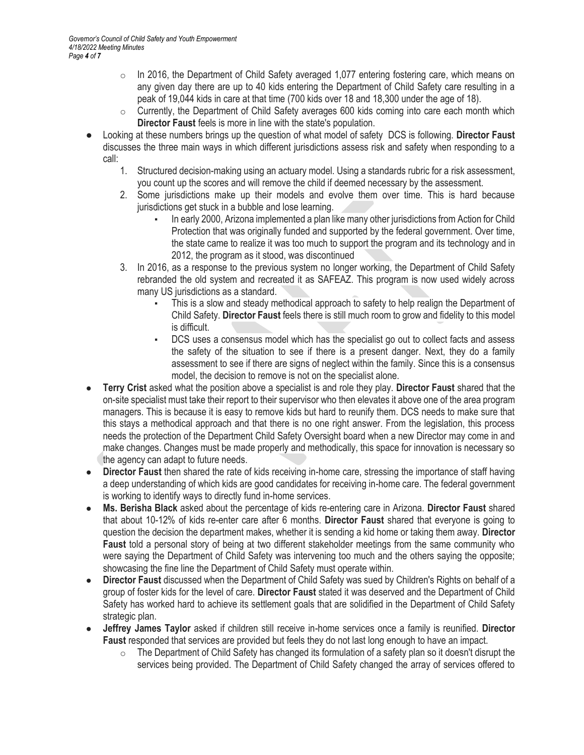- $\circ$  In 2016, the Department of Child Safety averaged 1,077 entering fostering care, which means on any given day there are up to 40 kids entering the Department of Child Safety care resulting in a peak of 19,044 kids in care at that time (700 kids over 18 and 18,300 under the age of 18).
- $\circ$  Currently, the Department of Child Safety averages 600 kids coming into care each month which **Director Faust** feels is more in line with the state's population.
- Looking at these numbers brings up the question of what model of safety DCS is following. **Director Faust**  discusses the three main ways in which different jurisdictions assess risk and safety when responding to a call:
	- 1. Structured decision-making using an actuary model. Using a standards rubric for a risk assessment, you count up the scores and will remove the child if deemed necessary by the assessment.
	- 2. Some jurisdictions make up their models and evolve them over time. This is hard because jurisdictions get stuck in a bubble and lose learning.
		- In early 2000, Arizona implemented a plan like many other jurisdictions from Action for Child Protection that was originally funded and supported by the federal government. Over time, the state came to realize it was too much to support the program and its technology and in 2012, the program as it stood, was discontinued
	- 3. In 2016, as a response to the previous system no longer working, the Department of Child Safety rebranded the old system and recreated it as SAFEAZ. This program is now used widely across many US jurisdictions as a standard.
		- This is a slow and steady methodical approach to safety to help realign the Department of Child Safety. **Director Faust** feels there is still much room to grow and fidelity to this model is difficult.
		- DCS uses a consensus model which has the specialist go out to collect facts and assess the safety of the situation to see if there is a present danger. Next, they do a family assessment to see if there are signs of neglect within the family. Since this is a consensus model, the decision to remove is not on the specialist alone.
- **Terry Crist** asked what the position above a specialist is and role they play. **Director Faust** shared that the on-site specialist must take their report to their supervisor who then elevates it above one of the area program managers. This is because it is easy to remove kids but hard to reunify them. DCS needs to make sure that this stays a methodical approach and that there is no one right answer. From the legislation, this process needs the protection of the Department Child Safety Oversight board when a new Director may come in and make changes. Changes must be made properly and methodically, this space for innovation is necessary so the agency can adapt to future needs.
- **Director Faust** then shared the rate of kids receiving in-home care, stressing the importance of staff having a deep understanding of which kids are good candidates for receiving in-home care. The federal government is working to identify ways to directly fund in-home services.
- **Ms. Berisha Black** asked about the percentage of kids re-entering care in Arizona. **Director Faust** shared that about 10-12% of kids re-enter care after 6 months. **Director Faust** shared that everyone is going to question the decision the department makes, whether it is sending a kid home or taking them away. **Director Faust** told a personal story of being at two different stakeholder meetings from the same community who were saying the Department of Child Safety was intervening too much and the others saying the opposite; showcasing the fine line the Department of Child Safety must operate within.
- **Director Faust** discussed when the Department of Child Safety was sued by Children's Rights on behalf of a group of foster kids for the level of care. **Director Faust** stated it was deserved and the Department of Child Safety has worked hard to achieve its settlement goals that are solidified in the Department of Child Safety strategic plan.
- **Jeffrey James Taylor** asked if children still receive in-home services once a family is reunified. **Director Faust** responded that services are provided but feels they do not last long enough to have an impact.
	- $\circ$  The Department of Child Safety has changed its formulation of a safety plan so it doesn't disrupt the services being provided. The Department of Child Safety changed the array of services offered to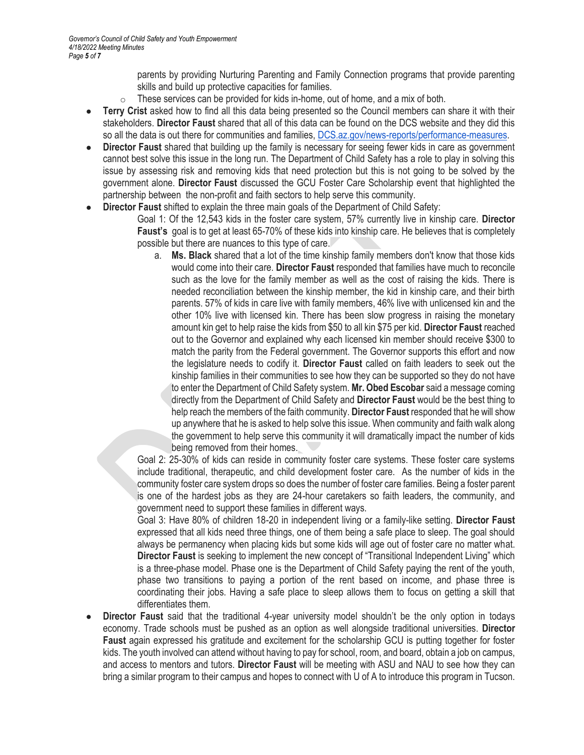parents by providing Nurturing Parenting and Family Connection programs that provide parenting skills and build up protective capacities for families.

- $\circ$  These services can be provided for kids in-home, out of home, and a mix of both.
- **Terry Crist** asked how to find all this data being presented so the Council members can share it with their stakeholders. **Director Faust** shared that all of this data can be found on the DCS website and they did this so all the data is out there for communities and families, [DCS.az.gov/news-reports/performance-measures.](https://dcs.az.gov/news-reports/performance-measures)
- **Director Faust** shared that building up the family is necessary for seeing fewer kids in care as government cannot best solve this issue in the long run. The Department of Child Safety has a role to play in solving this issue by assessing risk and removing kids that need protection but this is not going to be solved by the government alone. **Director Faust** discussed the GCU Foster Care Scholarship event that highlighted the partnership between the non-profit and faith sectors to help serve this community.
- **Director Faust** shifted to explain the three main goals of the Department of Child Safety:
	- Goal 1: Of the 12,543 kids in the foster care system, 57% currently live in kinship care. **Director Faust's** goal is to get at least 65-70% of these kids into kinship care. He believes that is completely possible but there are nuances to this type of care.
		- a. **Ms. Black** shared that a lot of the time kinship family members don't know that those kids would come into their care. **Director Faust** responded that families have much to reconcile such as the love for the family member as well as the cost of raising the kids. There is needed reconciliation between the kinship member, the kid in kinship care, and their birth parents. 57% of kids in care live with family members, 46% live with unlicensed kin and the other 10% live with licensed kin. There has been slow progress in raising the monetary amount kin get to help raise the kids from \$50 to all kin \$75 per kid. **Director Faust** reached out to the Governor and explained why each licensed kin member should receive \$300 to match the parity from the Federal government. The Governor supports this effort and now the legislature needs to codify it. **Director Faust** called on faith leaders to seek out the kinship families in their communities to see how they can be supported so they do not have to enter the Department of Child Safety system. **Mr. Obed Escobar** said a message coming directly from the Department of Child Safety and **Director Faust** would be the best thing to help reach the members of the faith community. **Director Faust** responded that he will show up anywhere that he is asked to help solve this issue. When community and faith walk along the government to help serve this community it will dramatically impact the number of kids being removed from their homes.

Goal 2: 25-30% of kids can reside in community foster care systems. These foster care systems include traditional, therapeutic, and child development foster care. As the number of kids in the community foster care system drops so does the number of foster care families. Being a foster parent is one of the hardest jobs as they are 24-hour caretakers so faith leaders, the community, and government need to support these families in different ways.

Goal 3: Have 80% of children 18-20 in independent living or a family-like setting. **Director Faust** expressed that all kids need three things, one of them being a safe place to sleep. The goal should always be permanency when placing kids but some kids will age out of foster care no matter what. **Director Faust** is seeking to implement the new concept of "Transitional Independent Living" which is a three-phase model. Phase one is the Department of Child Safety paying the rent of the youth, phase two transitions to paying a portion of the rent based on income, and phase three is coordinating their jobs. Having a safe place to sleep allows them to focus on getting a skill that differentiates them.

**Director Faust** said that the traditional 4-year university model shouldn't be the only option in todays economy. Trade schools must be pushed as an option as well alongside traditional universities. **Director Faust** again expressed his gratitude and excitement for the scholarship GCU is putting together for foster kids. The youth involved can attend without having to pay for school, room, and board, obtain a job on campus, and access to mentors and tutors. **Director Faust** will be meeting with ASU and NAU to see how they can bring a similar program to their campus and hopes to connect with U of A to introduce this program in Tucson.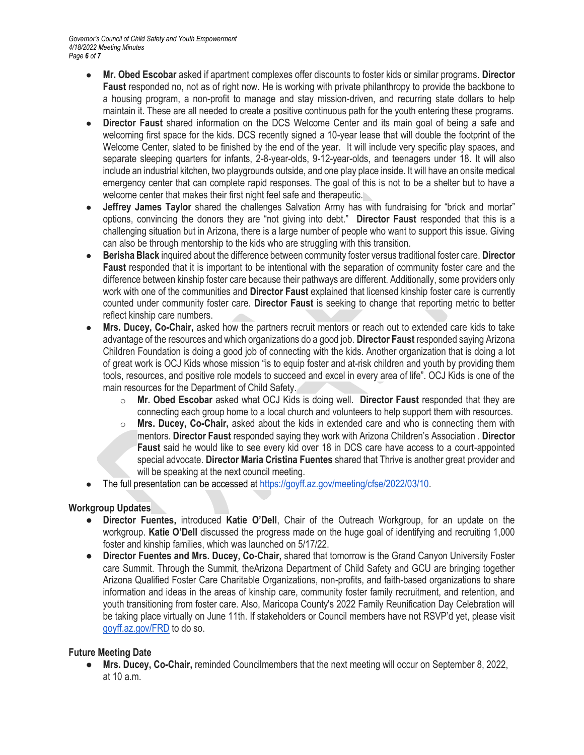- **Mr. Obed Escobar** asked if apartment complexes offer discounts to foster kids or similar programs. **Director Faust** responded no, not as of right now. He is working with private philanthropy to provide the backbone to a housing program, a non-profit to manage and stay mission-driven, and recurring state dollars to help maintain it. These are all needed to create a positive continuous path for the youth entering these programs.
- **Director Faust** shared information on the DCS Welcome Center and its main goal of being a safe and welcoming first space for the kids. DCS recently signed a 10-year lease that will double the footprint of the Welcome Center, slated to be finished by the end of the year. It will include very specific play spaces, and separate sleeping quarters for infants, 2-8-year-olds, 9-12-year-olds, and teenagers under 18. It will also include an industrial kitchen, two playgrounds outside, and one play place inside. It will have an onsite medical emergency center that can complete rapid responses. The goal of this is not to be a shelter but to have a welcome center that makes their first night feel safe and therapeutic.
- **Jeffrey James Taylor** shared the challenges Salvation Army has with fundraising for "brick and mortar" options, convincing the donors they are "not giving into debt." **Director Faust** responded that this is a challenging situation but in Arizona, there is a large number of people who want to support this issue. Giving can also be through mentorship to the kids who are struggling with this transition.
- **Berisha Black** inquired about the difference between community foster versus traditional foster care. **Director Faust** responded that it is important to be intentional with the separation of community foster care and the difference between kinship foster care because their pathways are different. Additionally, some providers only work with one of the communities and **Director Faust** explained that licensed kinship foster care is currently counted under community foster care. **Director Faust** is seeking to change that reporting metric to better reflect kinship care numbers.
- **Mrs. Ducey, Co-Chair, asked how the partners recruit mentors or reach out to extended care kids to take** advantage of the resources and which organizations do a good job. **Director Faust** responded saying Arizona Children Foundation is doing a good job of connecting with the kids. Another organization that is doing a lot of great work is OCJ Kids whose mission "is to equip foster and at-risk children and youth by providing them tools, resources, and positive role models to succeed and excel in every area of life". OCJ Kids is one of the main resources for the Department of Child Safety.
	- o **Mr. Obed Escobar** asked what OCJ Kids is doing well. **Director Faust** responded that they are connecting each group home to a local church and volunteers to help support them with resources.
	- o **Mrs. Ducey, Co-Chair,** asked about the kids in extended care and who is connecting them with mentors. **Director Faust** responded saying they work with Arizona Children's Association . **Director Faust** said he would like to see every kid over 18 in DCS care have access to a court-appointed special advocate. **Director Maria Cristina Fuentes** shared that Thrive is another great provider and will be speaking at the next council meeting.
- The full presentation can be accessed a[t https://goyff.az.gov/meeting/cfse/2022/03/10.](https://goyff.az.gov/meeting/cfse/2022/03/10)

# **Workgroup Updates**

- **Director Fuentes,** introduced **Katie O'Dell**, Chair of the Outreach Workgroup, for an update on the workgroup. **Katie O'Dell** discussed the progress made on the huge goal of identifying and recruiting 1,000 foster and kinship families, which was launched on 5/17/22.
- **Director Fuentes and Mrs. Ducey, Co-Chair, shared that tomorrow is the Grand Canyon University Foster** care Summit. Through the Summit, theArizona Department of Child Safety and GCU are bringing together Arizona Qualified Foster Care Charitable Organizations, non-profits, and faith-based organizations to share information and ideas in the areas of kinship care, community foster family recruitment, and retention, and youth transitioning from foster care. Also, Maricopa County's 2022 Family Reunification Day Celebration will be taking place virtually on June 11th. If stakeholders or Council members have not RSVP'd yet, please visit [goyff.az.gov/FRD](http://goyff.az.gov/FRD) to do so.

# **Future Meeting Date**

● **Mrs. Ducey, Co-Chair,** reminded Councilmembers that the next meeting will occur on September 8, 2022, at 10 a.m.